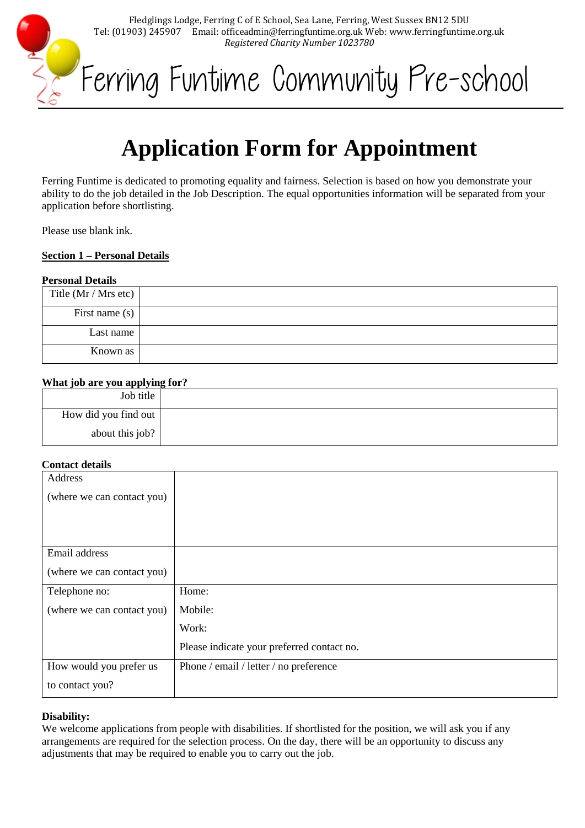Fledglings Lodge, Ferring C of E School, Sea Lane, Ferring, West Sussex BN12 5DU Tel: (01903) 245907 Email: officeadmin@ferringfuntime.org.uk Web: www.ferringfuntime.org.uk *Registered Charity Number 1023780*



# **Application Form for Appointment**

Ferring Funtime is dedicated to promoting equality and fairness. Selection is based on how you demonstrate your ability to do the job detailed in the Job Description. The equal opportunities information will be separated from your application before shortlisting.

Please use blank ink.

MANUS

# **Section 1 – Personal Details**

## **Personal Details**

| Title $(Mr / Mrs etc)$ |  |
|------------------------|--|
| First name $(s)$       |  |
| Last name              |  |
| Known as               |  |

## **What job are you applying for?**

| Job title            |  |
|----------------------|--|
| How did you find out |  |
| about this job?      |  |

# **Contact details**

| Address                    |                                            |
|----------------------------|--------------------------------------------|
| (where we can contact you) |                                            |
|                            |                                            |
|                            |                                            |
| Email address              |                                            |
| (where we can contact you) |                                            |
|                            |                                            |
| Telephone no:              | Home:                                      |
| (where we can contact you) | Mobile:                                    |
|                            | Work:                                      |
|                            | Please indicate your preferred contact no. |
| How would you prefer us    | Phone / email / letter / no preference     |
| to contact you?            |                                            |

# **Disability:**

We welcome applications from people with disabilities. If shortlisted for the position, we will ask you if any arrangements are required for the selection process. On the day, there will be an opportunity to discuss any adjustments that may be required to enable you to carry out the job.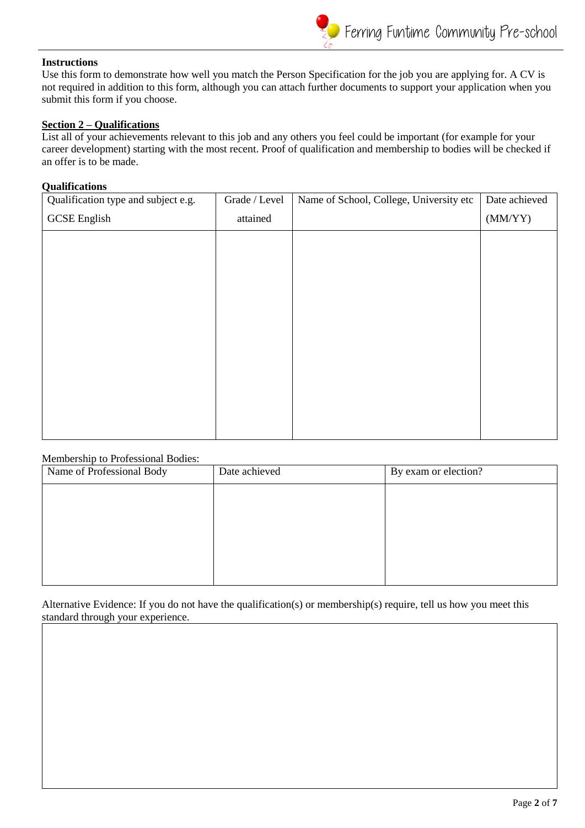# **Instructions**

Use this form to demonstrate how well you match the Person Specification for the job you are applying for. A CV is not required in addition to this form, although you can attach further documents to support your application when you submit this form if you choose.

# **Section 2 – Qualifications**

List all of your achievements relevant to this job and any others you feel could be important (for example for your career development) starting with the most recent. Proof of qualification and membership to bodies will be checked if an offer is to be made.

## **Qualifications**

| Qualification type and subject e.g. | Grade / Level | Name of School, College, University etc | Date achieved |
|-------------------------------------|---------------|-----------------------------------------|---------------|
| <b>GCSE</b> English                 | attained      |                                         | (MM/YY)       |
|                                     |               |                                         |               |
|                                     |               |                                         |               |
|                                     |               |                                         |               |
|                                     |               |                                         |               |
|                                     |               |                                         |               |
|                                     |               |                                         |               |
|                                     |               |                                         |               |
|                                     |               |                                         |               |
|                                     |               |                                         |               |
|                                     |               |                                         |               |

## Membership to Professional Bodies:

| Date achieved | By exam or election? |
|---------------|----------------------|
|               |                      |
|               |                      |
|               |                      |
|               |                      |
|               |                      |
|               |                      |

Alternative Evidence: If you do not have the qualification(s) or membership(s) require, tell us how you meet this standard through your experience.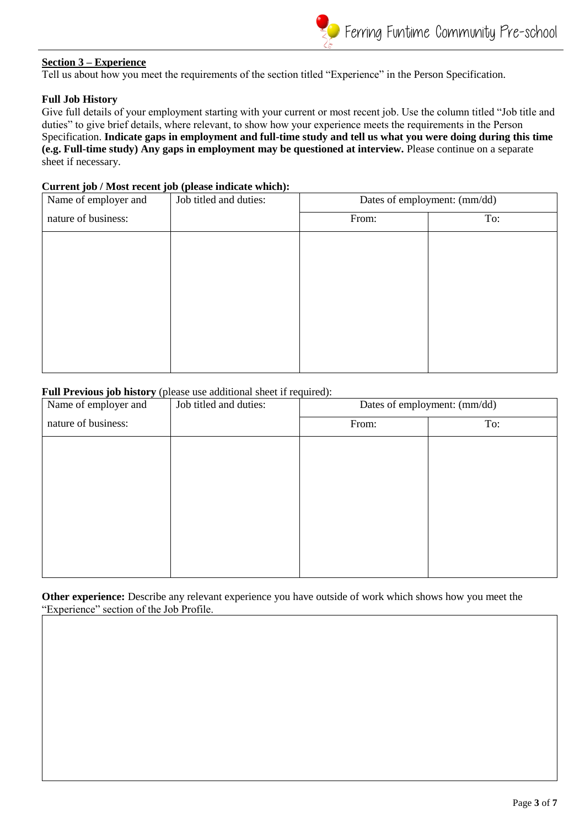

# **Section 3 – Experience**

Tell us about how you meet the requirements of the section titled "Experience" in the Person Specification.

#### **Full Job History**

Give full details of your employment starting with your current or most recent job. Use the column titled "Job title and duties" to give brief details, where relevant, to show how your experience meets the requirements in the Person Specification. **Indicate gaps in employment and full-time study and tell us what you were doing during this time (e.g. Full-time study) Any gaps in employment may be questioned at interview.** Please continue on a separate sheet if necessary.

#### **Current job / Most recent job (please indicate which):**

| Name of employer and | Job titled and duties: | Dates of employment: (mm/dd) |     |
|----------------------|------------------------|------------------------------|-----|
| nature of business:  |                        | From:                        | To: |
|                      |                        |                              |     |
|                      |                        |                              |     |
|                      |                        |                              |     |
|                      |                        |                              |     |
|                      |                        |                              |     |
|                      |                        |                              |     |
|                      |                        |                              |     |

#### **Full Previous job history** (please use additional sheet if required):

| Name of employer and | Job titled and duties: | Dates of employment: (mm/dd) |     |
|----------------------|------------------------|------------------------------|-----|
| nature of business:  |                        | From:                        | To: |
|                      |                        |                              |     |
|                      |                        |                              |     |
|                      |                        |                              |     |
|                      |                        |                              |     |
|                      |                        |                              |     |
|                      |                        |                              |     |
|                      |                        |                              |     |

**Other experience:** Describe any relevant experience you have outside of work which shows how you meet the "Experience" section of the Job Profile.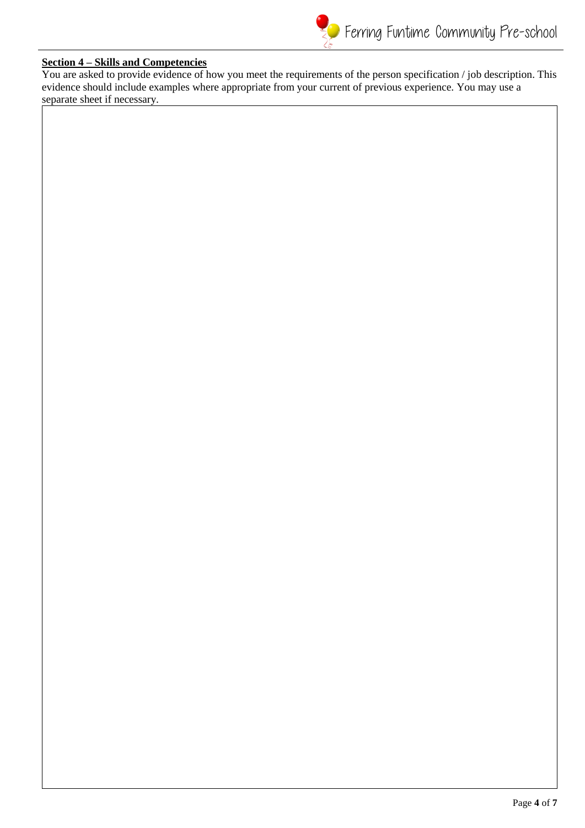# **Section 4 – Skills and Competencies**

You are asked to provide evidence of how you meet the requirements of the person specification / job description. This evidence should include examples where appropriate from your current of previous experience. You may use a separate sheet if necessary.

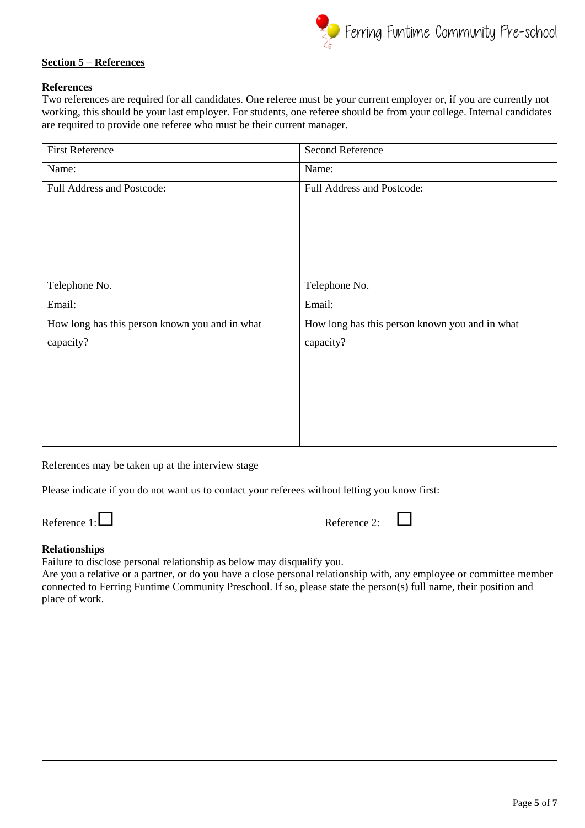# **Section 5 – References**

# **References**

Two references are required for all candidates. One referee must be your current employer or, if you are currently not working, this should be your last employer. For students, one referee should be from your college. Internal candidates are required to provide one referee who must be their current manager.

| <b>First Reference</b>                         | Second Reference                               |
|------------------------------------------------|------------------------------------------------|
| Name:                                          | Name:                                          |
| Full Address and Postcode:                     | Full Address and Postcode:                     |
| Telephone No.                                  | Telephone No.                                  |
| Email:                                         | Email:                                         |
| How long has this person known you and in what | How long has this person known you and in what |
| capacity?                                      | capacity?                                      |

References may be taken up at the interview stage

Please indicate if you do not want us to contact your referees without letting you know first:

Reference  $1: \Box$ 

## **Relationships**

Failure to disclose personal relationship as below may disqualify you.

Are you a relative or a partner, or do you have a close personal relationship with, any employee or committee member connected to Ferring Funtime Community Preschool. If so, please state the person(s) full name, their position and place of work.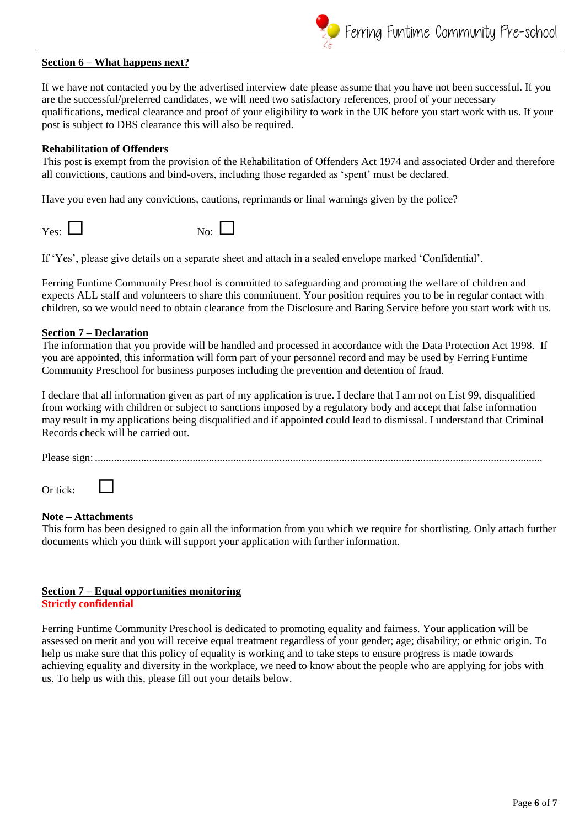# **Section 6 – What happens next?**

If we have not contacted you by the advertised interview date please assume that you have not been successful. If you are the successful/preferred candidates, we will need two satisfactory references, proof of your necessary qualifications, medical clearance and proof of your eligibility to work in the UK before you start work with us. If your post is subject to DBS clearance this will also be required.

Ferring Funtime Community Pre-school

## **Rehabilitation of Offenders**

This post is exempt from the provision of the Rehabilitation of Offenders Act 1974 and associated Order and therefore all convictions, cautions and bind-overs, including those regarded as 'spent' must be declared.

Have you even had any convictions, cautions, reprimands or final warnings given by the police?

| Yes: $\Box$ | No: $\Box$ |  |
|-------------|------------|--|
|-------------|------------|--|

If 'Yes', please give details on a separate sheet and attach in a sealed envelope marked 'Confidential'.

Ferring Funtime Community Preschool is committed to safeguarding and promoting the welfare of children and expects ALL staff and volunteers to share this commitment. Your position requires you to be in regular contact with children, so we would need to obtain clearance from the Disclosure and Baring Service before you start work with us.

## **Section 7 – Declaration**

The information that you provide will be handled and processed in accordance with the Data Protection Act 1998. If you are appointed, this information will form part of your personnel record and may be used by Ferring Funtime Community Preschool for business purposes including the prevention and detention of fraud.

I declare that all information given as part of my application is true. I declare that I am not on List 99, disqualified from working with children or subject to sanctions imposed by a regulatory body and accept that false information may result in my applications being disqualified and if appointed could lead to dismissal. I understand that Criminal Records check will be carried out.

Please sign: .....................................................................................................................................................................

Or tick:

# **Note – Attachments**

This form has been designed to gain all the information from you which we require for shortlisting. Only attach further documents which you think will support your application with further information.

#### **Section 7 – Equal opportunities monitoring Strictly confidential**

Ferring Funtime Community Preschool is dedicated to promoting equality and fairness. Your application will be assessed on merit and you will receive equal treatment regardless of your gender; age; disability; or ethnic origin. To help us make sure that this policy of equality is working and to take steps to ensure progress is made towards achieving equality and diversity in the workplace, we need to know about the people who are applying for jobs with us. To help us with this, please fill out your details below.